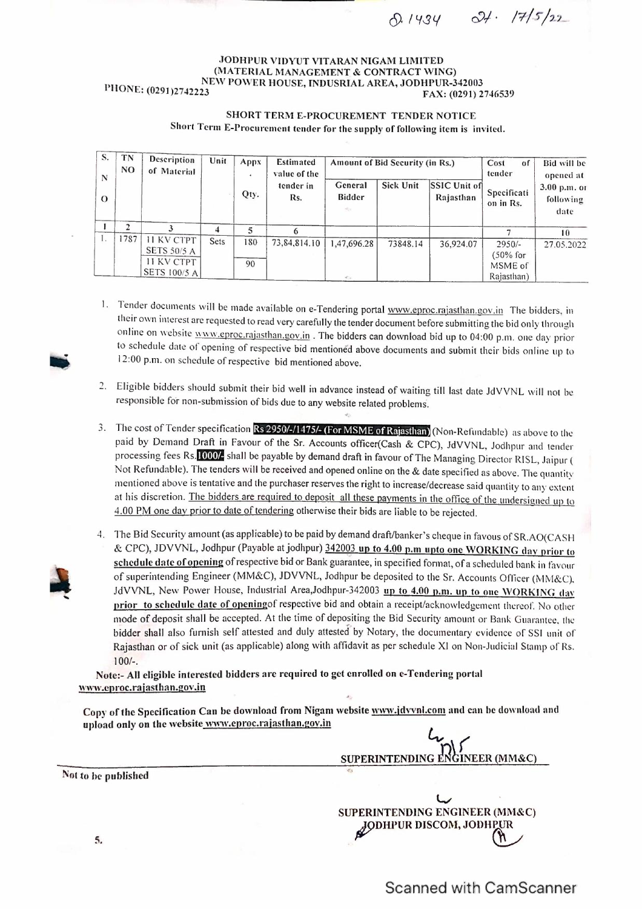$c^{2}$ /. /7/5/22  $A.1434$ 

## JODHPUR VIDYUT VITARAN NIGAM LIMITED (MATERIAL MANAGEMENT & CONTRACT WING) NEW POWER HOUSE, INDUSRIAL AREA, JODHPUR-342003 PHONE: (0291)2742223 FAX: (0291)

## SHORT TERM E-PROCUREMENT TENDER NOTICE Short Term E-Procurement tender for the supply of following item is invited.

| S.<br>N  | TN<br>N <sub>O</sub> | Description<br>of Material                                            | Unit | Appx<br>$\bullet$ | <b>Estimated</b><br>value of the | Amount of Bid Security (in Rs.)         |                  |                           | Cost<br>οf<br>tender                             | Bid will be<br>opened at          |
|----------|----------------------|-----------------------------------------------------------------------|------|-------------------|----------------------------------|-----------------------------------------|------------------|---------------------------|--------------------------------------------------|-----------------------------------|
| $\Omega$ |                      |                                                                       |      | Qty.              | tender in<br>Rs.                 | General<br><b>Bidder</b><br><b>May</b>  | <b>Sick Unit</b> | SSIC Unit of<br>Rajasthan | Specificati<br>on in Rs.                         | 3.00 p.m. or<br>following<br>date |
|          |                      |                                                                       | 4    | ٩                 |                                  |                                         |                  |                           |                                                  | 10                                |
|          | 1787                 | <b>II KV CTPT</b><br>SETS 50/5 A<br><b>II KV CTPT</b><br>SETS 100/5 A | Sets | 180<br>90         | 73, 84, 814. 10                  | 1,47,696.28<br>$\mathcal{L}^{\prime}$ . | 73848.14         | 36,924.07                 | $2950/-$<br>$(50\%$ for<br>MSME of<br>Rajasthan) | 27.05.2022                        |

1. Tender documents will be made available on e-Tendering portal www.eproc.rajasthan.gov.in The bidders, in their own interest are requested to read very carefully the tender document before submitting the bid only through online on website www.eproc.rajasthan.gov.in . The bidders can download bid up to 04:00 p.m. one day prior to schedule date of opening of respective bid mentioned above documents and submit their bids on line up to 12:00 p.m. on schedule of respective bid mentioned above.

- 2. Eligible bidders should submit their bid well in advance instead of waiting till last date JdYYNL will not be responsible for non-submission of bids due to any website related problems,
- 3. The cost of Tender specification **Rs 2950/-/1475/- (For MSME of Rajasthan)** (Non-Refundable) as above to the paid by Demand Draft in Favour of the Sr. Accounts officer(Cash & CPC), JdYYNL, Jodhpur and tender processing fees Rs. 1000/<sub>2</sub> shall be payable by demand draft in favour of The Managing Director RISL, Jaipur ( Not Refundable). The tenders will be received and opened online on the & date specified as above. The quantity mentioned above is tentative and the purchaser reserves the right to increase/decrease said quantity to any extent at his discretion. The bidders are required to deposit all these pavments in the office of the undersigned up to 4.00 PM one day prior to date of tendering otherwise their bids are liable to be rejected.
- 4. The Bid Security amount (as applicable) to be paid by demand draft/banker's cheque in favous of SR.AO(CASH & CPC), JDVVNL, Jodhpur (Payable atjodhpur) 342003 up to 4.00 p.m upto one WORKING dav prior to schedule date of opening of respective bid or Bank guarantee, in specified format, of a scheduled bank in favour of superintending Engineer (MM&C), JDVVNL, Jodhpur be deposited to the Sr. Accounts Officer (MM&C), JdVVNL, New Power House, Industrial Area,Jodhpur-342003 up to 4.00 p.m. up to one WORKING day prior to schedule date of openingof respective bid and obtain a receipt/acknowledgement thereof. No other mode of deposit shall be accepted. At the time of depositing the Bid Security amount or Bank Guarantee. the bidder shall also furnish self attested and duly attested by Notary, the documentary evidence of SSI unit of Rajasthan or of sick unit (as applicable) along with affidavit as per schedule XI on Non-Judicial Stamp or Rs. 100/-.

Note:- All eligible interested bidders are required to get enrolled on e-Tcndcring portal www.cproc.rajasthan.gov.in

Copy of the Specification Can be download from Nigam website www.jdvynl.com and can be download and upload only on the website www.eproc.rajasthan.gov.in

*L., (*  SUPERINTENDING ENGINEER (MM&C)  $\frac{1}{4}$ 

 $\downarrow$ SUPERINTENDING ENGINEER (MM&C) JODHPUR DISCOM, JODHPUR



Not to he published